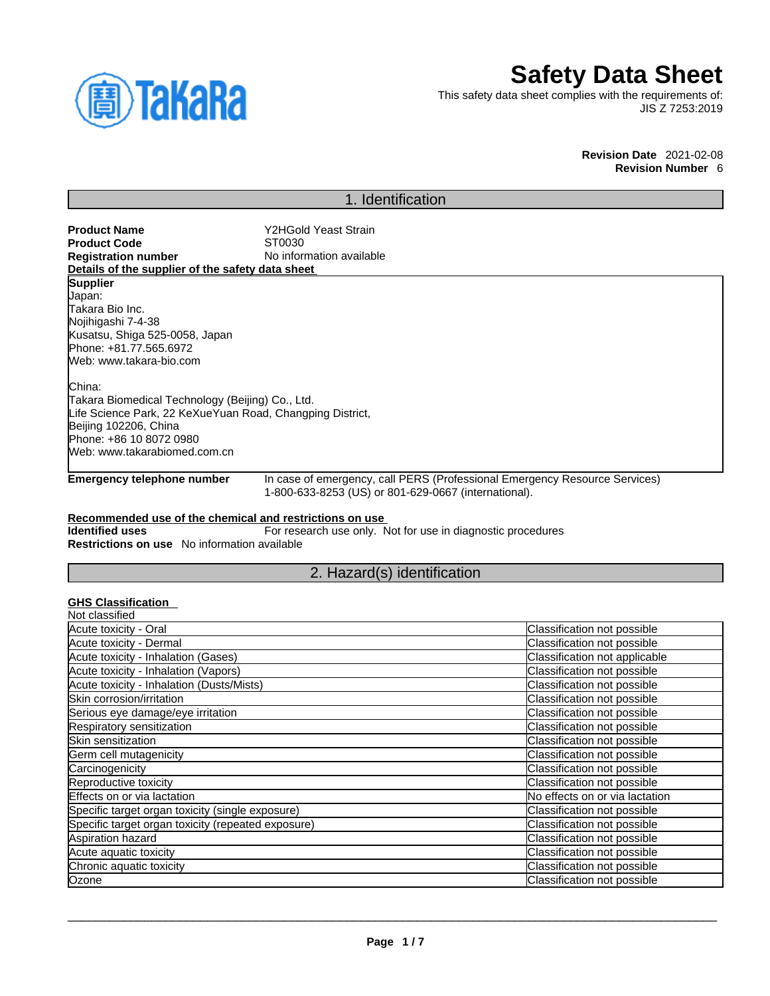

# **Safety Data Sheet**

This safety data sheet complies with the requirements of: JIS Z 7253:2019

> **Revision Date** 2021-02-08 **Revision Number** 6

# 1. Identification

| <b>Product Name</b>                                       | Y2HGold Yeast Strain                                                       |
|-----------------------------------------------------------|----------------------------------------------------------------------------|
| <b>Product Code</b>                                       | ST0030                                                                     |
| <b>Registration number</b>                                | No information available                                                   |
| Details of the supplier of the safety data sheet          |                                                                            |
| <b>Supplier</b>                                           |                                                                            |
| Uapan:                                                    |                                                                            |
| Takara Bio Inc.                                           |                                                                            |
| Nojihigashi 7-4-38                                        |                                                                            |
| Kusatsu, Shiga 525-0058, Japan                            |                                                                            |
| Phone: +81.77.565.6972                                    |                                                                            |
| Web: www.takara-bio.com                                   |                                                                            |
| lChina:                                                   |                                                                            |
| Takara Biomedical Technology (Beijing) Co., Ltd.          |                                                                            |
| Life Science Park, 22 KeXueYuan Road, Changping District, |                                                                            |
| Beijing 102206, China                                     |                                                                            |
| Phone: +86 10 8072 0980                                   |                                                                            |
| Web: www.takarabiomed.com.cn                              |                                                                            |
| Emergency telephone number                                | In case of emergency, call PERS (Professional Emergency Resource Services) |
|                                                           | 1-800-633-8253 (US) or 801-629-0667 (international).                       |
| Recommended use of the chemical and restrictions on use   |                                                                            |
| <b>Identified uses</b>                                    | For research use only. Not for use in diagnostic procedures                |
| <b>Restrictions on use</b> No information available       |                                                                            |
|                                                           |                                                                            |

# 2. Hazard(s) identification

# **GHS Classification**

| Not classified                                     |                                |
|----------------------------------------------------|--------------------------------|
| Acute toxicity - Oral                              | Classification not possible    |
| Acute toxicity - Dermal                            | Classification not possible    |
| Acute toxicity - Inhalation (Gases)                | Classification not applicable  |
| Acute toxicity - Inhalation (Vapors)               | Classification not possible    |
| Acute toxicity - Inhalation (Dusts/Mists)          | Classification not possible    |
| Skin corrosion/irritation                          | Classification not possible    |
| Serious eye damage/eye irritation                  | Classification not possible    |
| Respiratory sensitization                          | Classification not possible    |
| Skin sensitization                                 | Classification not possible    |
| Germ cell mutagenicity                             | Classification not possible    |
| Carcinogenicity                                    | Classification not possible    |
| Reproductive toxicity                              | Classification not possible    |
| Effects on or via lactation                        | No effects on or via lactation |
| Specific target organ toxicity (single exposure)   | Classification not possible    |
| Specific target organ toxicity (repeated exposure) | Classification not possible    |
| Aspiration hazard                                  | Classification not possible    |
| Acute aquatic toxicity                             | Classification not possible    |
| Chronic aquatic toxicity                           | Classification not possible    |
| Ozone                                              | Classification not possible    |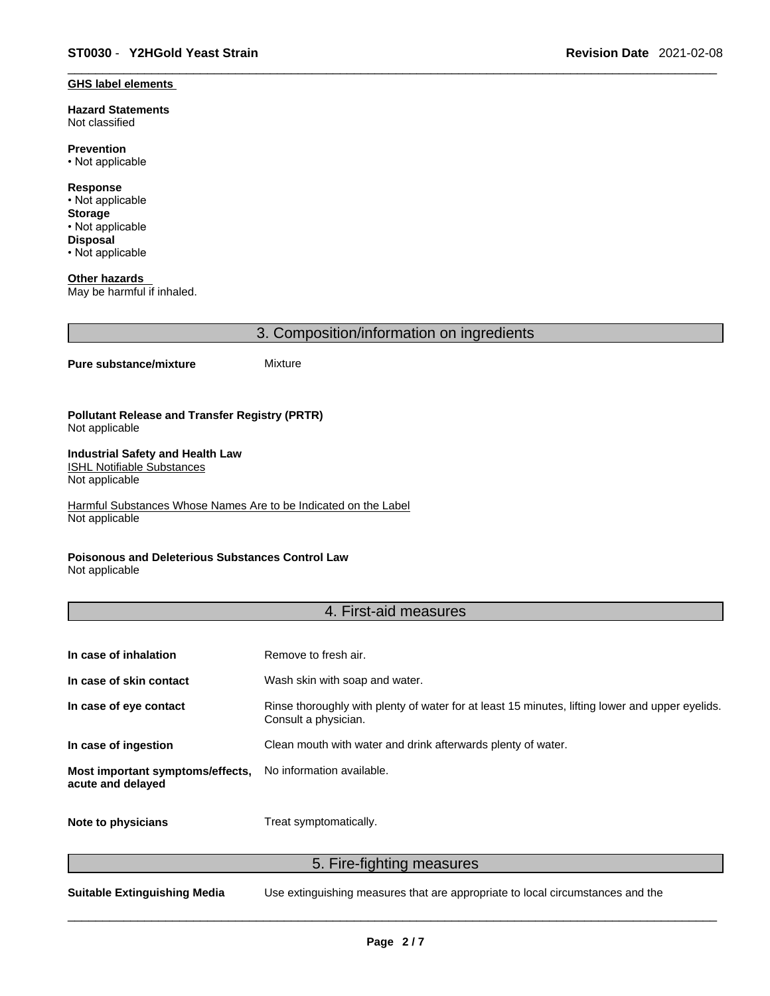#### **GHS label elements**

**Hazard Statements**  Not classified

**Prevention** • Not applicable

**Response** • Not applicable **Storage** • Not applicable **Disposal** • Not applicable

**Other hazards**  May be harmful if inhaled.

3. Composition/information on ingredients

#### **Pure substance/mixture** Mixture

**Pollutant Release and Transfer Registry (PRTR)** Not applicable

#### **Industrial Safety and Health Law**  ISHL Notifiable Substances

Not applicable

Harmful Substances Whose Names Are to be Indicated on the Label Not applicable

### **Poisonous and Deleterious Substances Control Law**

Not applicable

### 4. First-aid measures

| In case of inhalation                                 | Remove to fresh air.                                                                                                    |
|-------------------------------------------------------|-------------------------------------------------------------------------------------------------------------------------|
| In case of skin contact                               | Wash skin with soap and water.                                                                                          |
| In case of eye contact                                | Rinse thoroughly with plenty of water for at least 15 minutes, lifting lower and upper eyelids.<br>Consult a physician. |
| In case of ingestion                                  | Clean mouth with water and drink afterwards plenty of water.                                                            |
| Most important symptoms/effects,<br>acute and delayed | No information available.                                                                                               |
| Note to physicians                                    | Treat symptomatically.                                                                                                  |

5. Fire-fighting measures

**Suitable Extinguishing Media** Use extinguishing measures that are appropriate to local circumstances and the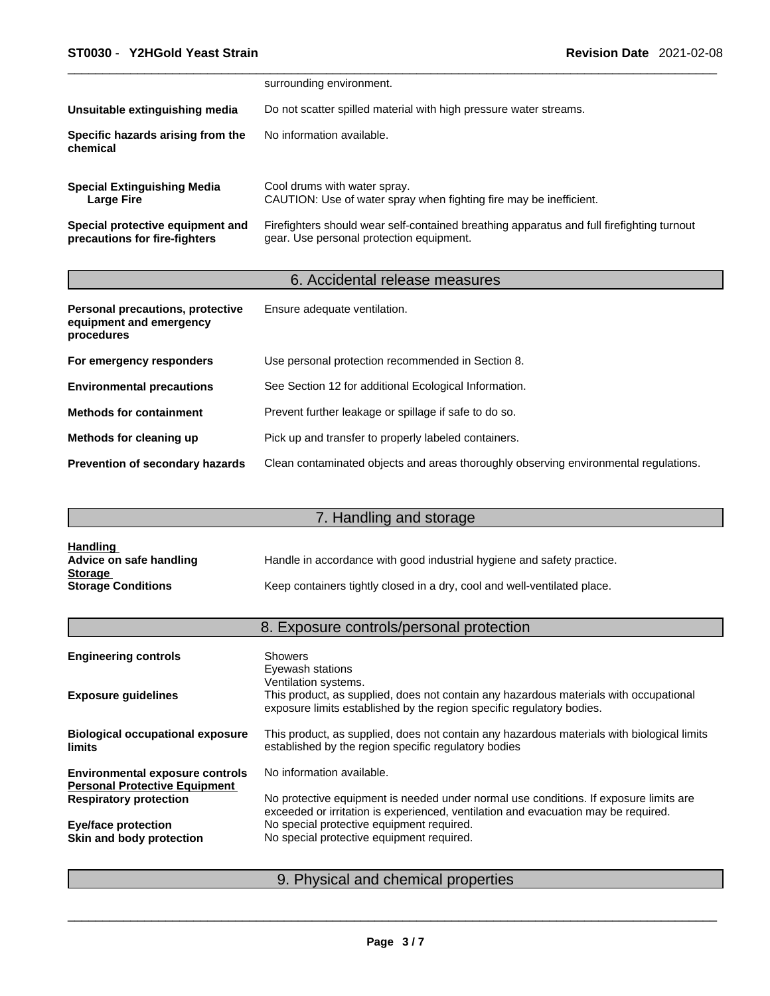|                                                                   | surrounding environment.                                                                                                              |
|-------------------------------------------------------------------|---------------------------------------------------------------------------------------------------------------------------------------|
| Unsuitable extinguishing media                                    | Do not scatter spilled material with high pressure water streams.                                                                     |
| Specific hazards arising from the<br>chemical                     | No information available.                                                                                                             |
| <b>Special Extinguishing Media</b><br><b>Large Fire</b>           | Cool drums with water spray.<br>CAUTION: Use of water spray when fighting fire may be inefficient.                                    |
| Special protective equipment and<br>precautions for fire-fighters | Firefighters should wear self-contained breathing apparatus and full firefighting turnout<br>gear. Use personal protection equipment. |

# 6. Accidental release measures

| Personal precautions, protective<br>equipment and emergency<br>procedures | Ensure adequate ventilation.                                                         |
|---------------------------------------------------------------------------|--------------------------------------------------------------------------------------|
| For emergency responders                                                  | Use personal protection recommended in Section 8.                                    |
| <b>Environmental precautions</b>                                          | See Section 12 for additional Ecological Information.                                |
| <b>Methods for containment</b>                                            | Prevent further leakage or spillage if safe to do so.                                |
| Methods for cleaning up                                                   | Pick up and transfer to properly labeled containers.                                 |
| Prevention of secondary hazards                                           | Clean contaminated objects and areas thoroughly observing environmental regulations. |

# 7. Handling and storage

| <b>Handling</b>           |                                                                          |
|---------------------------|--------------------------------------------------------------------------|
| Advice on safe handling   | Handle in accordance with good industrial hygiene and safety practice.   |
| <b>Storage</b>            |                                                                          |
| <b>Storage Conditions</b> | Keep containers tightly closed in a dry, cool and well-ventilated place. |

# 8. Exposure controls/personal protection

| <b>Engineering controls</b>                                                    | <b>Showers</b><br>Eyewash stations                                                                                                                                                     |
|--------------------------------------------------------------------------------|----------------------------------------------------------------------------------------------------------------------------------------------------------------------------------------|
| <b>Exposure guidelines</b>                                                     | Ventilation systems.<br>This product, as supplied, does not contain any hazardous materials with occupational<br>exposure limits established by the region specific regulatory bodies. |
| <b>Biological occupational exposure</b><br><b>limits</b>                       | This product, as supplied, does not contain any hazardous materials with biological limits<br>established by the region specific regulatory bodies                                     |
| <b>Environmental exposure controls</b><br><b>Personal Protective Equipment</b> | No information available.                                                                                                                                                              |
| <b>Respiratory protection</b>                                                  | No protective equipment is needed under normal use conditions. If exposure limits are<br>exceeded or irritation is experienced, ventilation and evacuation may be required.            |
| <b>Eye/face protection</b>                                                     | No special protective equipment required.                                                                                                                                              |
| Skin and body protection                                                       | No special protective equipment required.                                                                                                                                              |
|                                                                                |                                                                                                                                                                                        |

# 9. Physical and chemical properties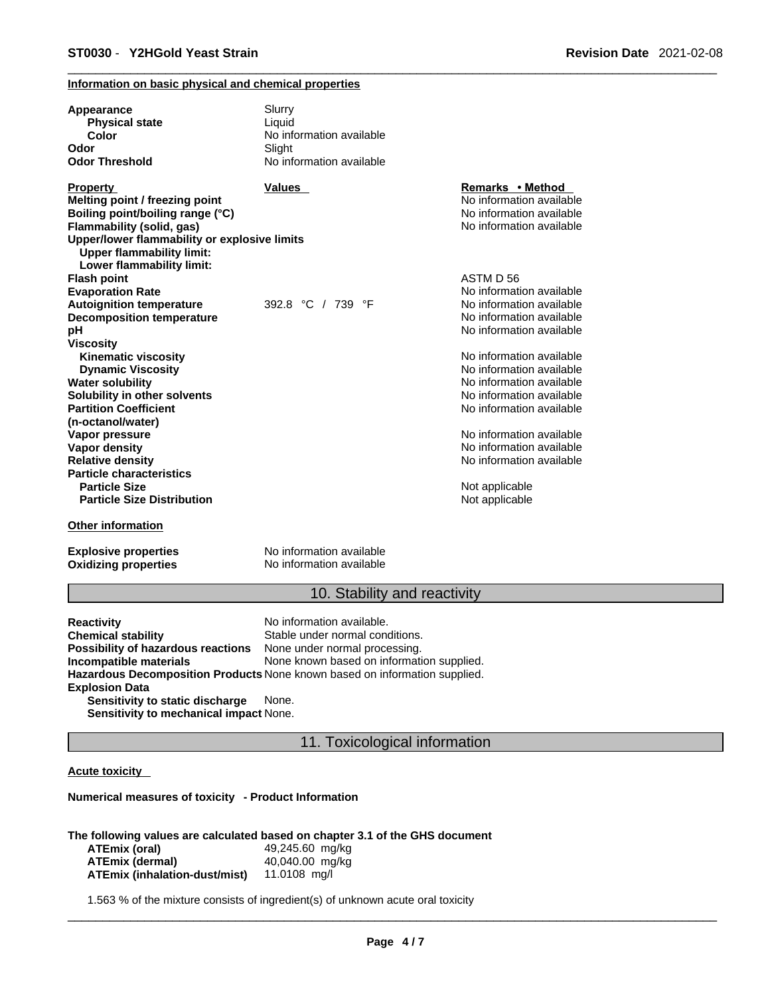#### **Information on basic physical and chemical properties**

| Appearance<br><b>Physical state</b>          | Slurry<br>Liquid         |                          |  |
|----------------------------------------------|--------------------------|--------------------------|--|
| Color                                        | No information available |                          |  |
| Odor                                         | Slight                   |                          |  |
| Odor Threshold                               | No information available |                          |  |
| <b>Property</b>                              | <b>Values</b>            | Remarks • Method         |  |
| Melting point / freezing point               |                          | No information available |  |
| Boiling point/boiling range (°C)             |                          | No information available |  |
| Flammability (solid, gas)                    |                          | No information available |  |
| Upper/lower flammability or explosive limits |                          |                          |  |
| <b>Upper flammability limit:</b>             |                          |                          |  |
| Lower flammability limit:                    |                          |                          |  |
| <b>Flash point</b>                           |                          | ASTM D 56                |  |
| <b>Evaporation Rate</b>                      |                          | No information available |  |
| <b>Autoignition temperature</b>              | 392.8 °C / 739 °F        | No information available |  |
| <b>Decomposition temperature</b>             |                          | No information available |  |
| рH                                           |                          | No information available |  |
| Viscosity                                    |                          |                          |  |
| <b>Kinematic viscosity</b>                   |                          | No information available |  |
| <b>Dynamic Viscosity</b>                     |                          | No information available |  |
| <b>Water solubility</b>                      |                          | No information available |  |
| Solubility in other solvents                 |                          | No information available |  |
| <b>Partition Coefficient</b>                 |                          | No information available |  |
| (n-octanol/water)                            |                          |                          |  |
| Vapor pressure                               |                          | No information available |  |
| Vapor density                                |                          | No information available |  |
| <b>Relative density</b>                      |                          | No information available |  |
| <b>Particle characteristics</b>              |                          |                          |  |
| <b>Particle Size</b>                         |                          | Not applicable           |  |
| <b>Particle Size Distribution</b>            |                          | Not applicable           |  |
| <b>Other information</b>                     |                          |                          |  |
| <b>Explosive properties</b>                  | No information available |                          |  |

**Oxidizing properties** No information available

### 10. Stability and reactivity

**Reactivity Reactivity Reactivity Chemical stability No information available.**<br> **Chemical stability Reaction** Stable under normal cond Stable under normal conditions.<br>None under normal processing. **Possibility of hazardous reactions Incompatible materials** None known based on information supplied. **Hazardous Decomposition Products** None known based on information supplied. **Explosion Data Sensitivity to static discharge** None.

**Sensitivity to mechanical impact** None.

### 11. Toxicological information

#### **Acute toxicity**

**Numerical measures of toxicity - Product Information**

**The following values are calculated based on chapter 3.1 of the GHS document**

| ATEmix (oral)                 | 49,245.60 mg/kg |
|-------------------------------|-----------------|
| ATEmix (dermal)               | 40,040.00 mg/kg |
| ATEmix (inhalation-dust/mist) | 11.0108 mg/l    |

1.563 % of the mixture consists of ingredient(s) of unknown acute oral toxicity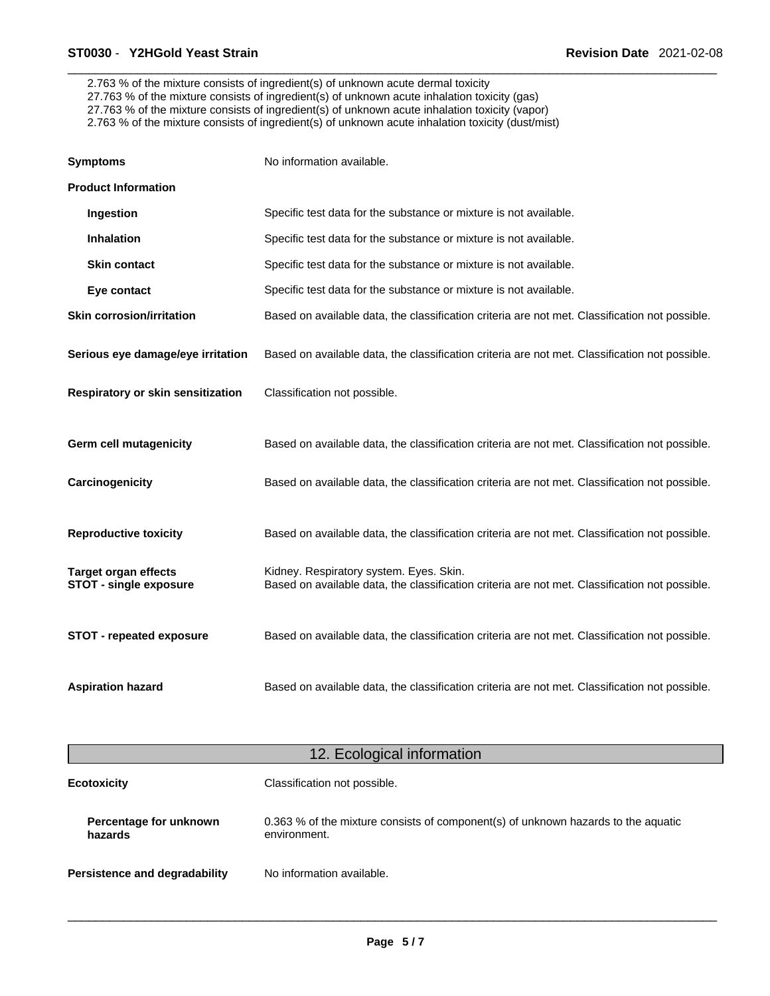2.763 % of the mixture consists of ingredient(s) of unknown acute dermal toxicity 27.763 % of the mixture consists of ingredient(s) of unknown acute inhalation toxicity (gas) 27.763 % of the mixture consists of ingredient(s) of unknown acute inhalation toxicity (vapor) 2.763 % of the mixture consists of ingredient(s) of unknown acute inhalation toxicity (dust/mist)

| <b>Symptoms</b>                                              | No information available.                                                                                                                 |
|--------------------------------------------------------------|-------------------------------------------------------------------------------------------------------------------------------------------|
| <b>Product Information</b>                                   |                                                                                                                                           |
| Ingestion                                                    | Specific test data for the substance or mixture is not available.                                                                         |
| <b>Inhalation</b>                                            | Specific test data for the substance or mixture is not available.                                                                         |
| <b>Skin contact</b>                                          | Specific test data for the substance or mixture is not available.                                                                         |
| Eye contact                                                  | Specific test data for the substance or mixture is not available.                                                                         |
| <b>Skin corrosion/irritation</b>                             | Based on available data, the classification criteria are not met. Classification not possible.                                            |
| Serious eye damage/eye irritation                            | Based on available data, the classification criteria are not met. Classification not possible.                                            |
| Respiratory or skin sensitization                            | Classification not possible.                                                                                                              |
| <b>Germ cell mutagenicity</b>                                | Based on available data, the classification criteria are not met. Classification not possible.                                            |
| Carcinogenicity                                              | Based on available data, the classification criteria are not met. Classification not possible.                                            |
| <b>Reproductive toxicity</b>                                 | Based on available data, the classification criteria are not met. Classification not possible.                                            |
| <b>Target organ effects</b><br><b>STOT - single exposure</b> | Kidney. Respiratory system. Eyes. Skin.<br>Based on available data, the classification criteria are not met. Classification not possible. |
| <b>STOT - repeated exposure</b>                              | Based on available data, the classification criteria are not met. Classification not possible.                                            |
| <b>Aspiration hazard</b>                                     | Based on available data, the classification criteria are not met. Classification not possible.                                            |

| 12. Ecological information        |                                                                                                   |
|-----------------------------------|---------------------------------------------------------------------------------------------------|
| <b>Ecotoxicity</b>                | Classification not possible.                                                                      |
| Percentage for unknown<br>hazards | 0.363 % of the mixture consists of component(s) of unknown hazards to the aquatic<br>environment. |
| Persistence and degradability     | No information available.                                                                         |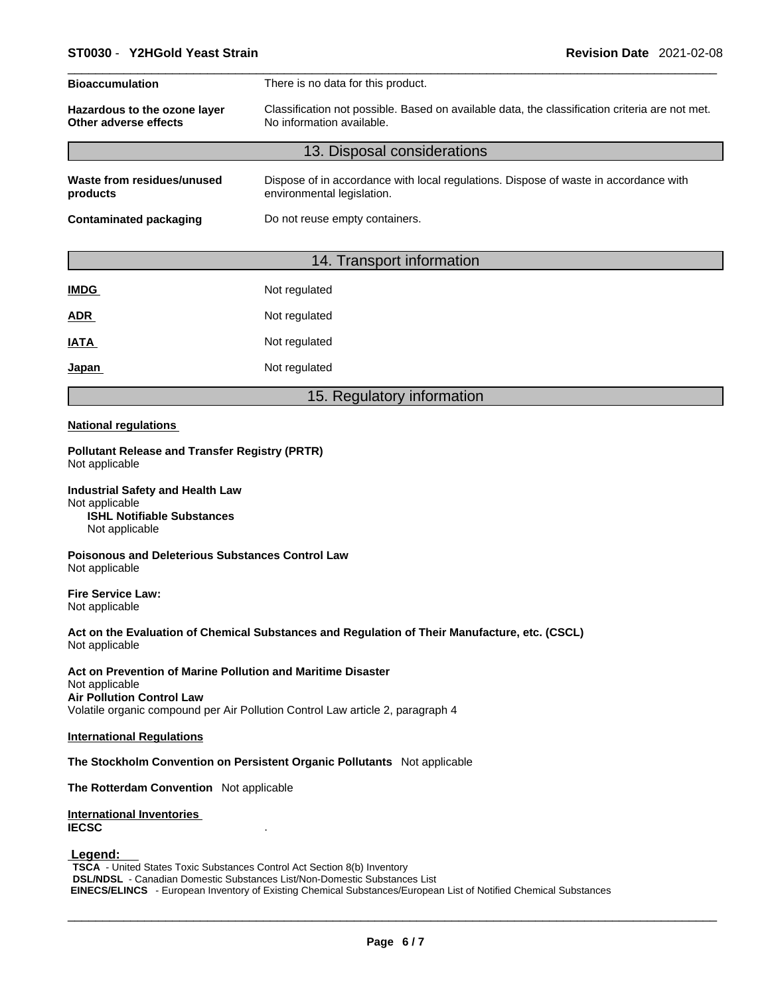| <b>Bioaccumulation</b>                                | There is no data for this product.                                                                                          |
|-------------------------------------------------------|-----------------------------------------------------------------------------------------------------------------------------|
| Hazardous to the ozone layer<br>Other adverse effects | Classification not possible. Based on available data, the classification criteria are not met.<br>No information available. |
|                                                       | 13. Disposal considerations                                                                                                 |
| Waste from residues/unused<br>products                | Dispose of in accordance with local regulations. Dispose of waste in accordance with<br>environmental legislation.          |
| Contaminated packaging                                | Do not reuse empty containers.                                                                                              |
|                                                       |                                                                                                                             |

### 14. Transport information

| Not regulated |
|---------------|
| Not regulated |
| Not regulated |
| Not regulated |
|               |

### 15. Regulatory information

#### **National regulations**

**Pollutant Release and Transfer Registry (PRTR)** Not applicable

**Industrial Safety and Health Law** Not applicable **ISHL Notifiable Substances** Not applicable

**Poisonous and Deleterious Substances Control Law** Not applicable

**Fire Service Law:** Not applicable

**Act on the Evaluation of Chemical Substances and Regulation of Their Manufacture, etc. (CSCL)** Not applicable

**Act on Prevention of Marine Pollution and Maritime Disaster** Not applicable **Air Pollution Control Law** Volatile organic compound per Air Pollution Control Law article 2, paragraph 4

#### **International Regulations**

**The Stockholm Convention on Persistent Organic Pollutants** Not applicable

**The Rotterdam Convention** Not applicable

**International Inventories IECSC** .

 **Legend:** 

**TSCA** - United States Toxic Substances Control Act Section 8(b) Inventory **DSL/NDSL** - Canadian Domestic Substances List/Non-Domestic Substances List  **EINECS/ELINCS** - European Inventory of Existing Chemical Substances/European List of Notified Chemical Substances